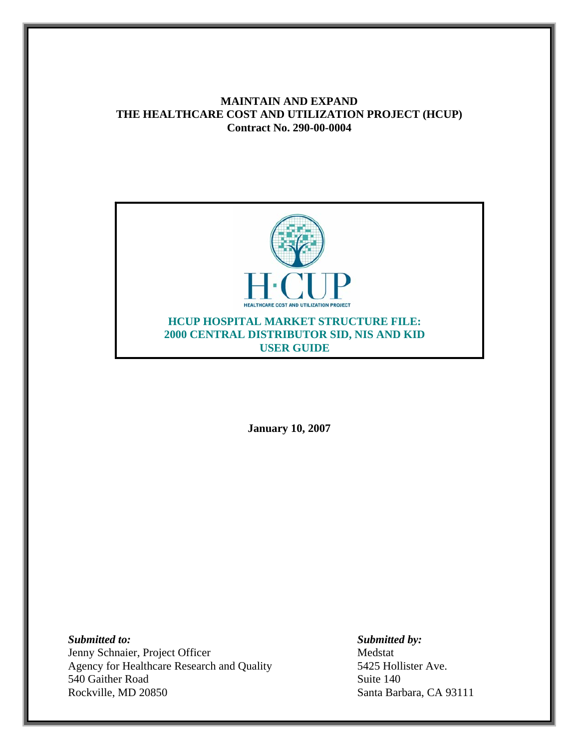# **MAINTAIN AND EXPAND THE HEALTHCARE COST AND UTILIZATION PROJECT (HCUP) Contract No. 290-00-0004**



**January 10, 2007** 

*Submitted to: Submitted by:*  Jenny Schnaier, Project Officer Medstat Agency for Healthcare Research and Quality 5425 Hollister Ave. 540 Gaither Road Suite 140 Rockville, MD 20850 Santa Barbara, CA 93111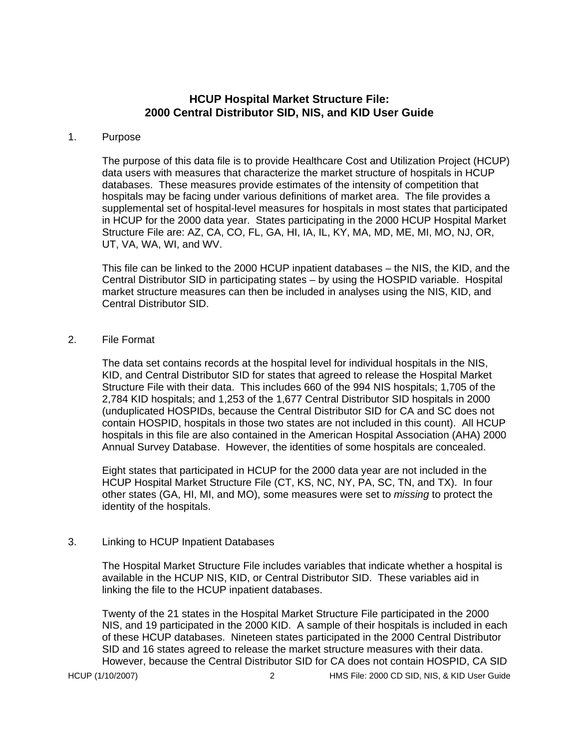## **HCUP Hospital Market Structure File: 2000 Central Distributor SID, NIS, and KID User Guide**

#### 1. Purpose

The purpose of this data file is to provide Healthcare Cost and Utilization Project (HCUP) data users with measures that characterize the market structure of hospitals in HCUP databases. These measures provide estimates of the intensity of competition that hospitals may be facing under various definitions of market area. The file provides a supplemental set of hospital-level measures for hospitals in most states that participated in HCUP for the 2000 data year. States participating in the 2000 HCUP Hospital Market Structure File are: AZ, CA, CO, FL, GA, HI, IA, IL, KY, MA, MD, ME, MI, MO, NJ, OR, UT, VA, WA, WI, and WV.

This file can be linked to the 2000 HCUP inpatient databases – the NIS, the KID, and the Central Distributor SID in participating states – by using the HOSPID variable. Hospital market structure measures can then be included in analyses using the NIS, KID, and Central Distributor SID.

2. File Format

The data set contains records at the hospital level for individual hospitals in the NIS, KID, and Central Distributor SID for states that agreed to release the Hospital Market Structure File with their data. This includes 660 of the 994 NIS hospitals; 1,705 of the 2,784 KID hospitals; and 1,253 of the 1,677 Central Distributor SID hospitals in 2000 (unduplicated HOSPIDs, because the Central Distributor SID for CA and SC does not contain HOSPID, hospitals in those two states are not included in this count). All HCUP hospitals in this file are also contained in the American Hospital Association (AHA) 2000 Annual Survey Database. However, the identities of some hospitals are concealed.

Eight states that participated in HCUP for the 2000 data year are not included in the HCUP Hospital Market Structure File (CT, KS, NC, NY, PA, SC, TN, and TX). In four other states (GA, HI, MI, and MO), some measures were set to *missing* to protect the identity of the hospitals.

## 3. Linking to HCUP Inpatient Databases

The Hospital Market Structure File includes variables that indicate whether a hospital is available in the HCUP NIS, KID, or Central Distributor SID. These variables aid in linking the file to the HCUP inpatient databases.

Twenty of the 21 states in the Hospital Market Structure File participated in the 2000 NIS, and 19 participated in the 2000 KID. A sample of their hospitals is included in each of these HCUP databases. Nineteen states participated in the 2000 Central Distributor SID and 16 states agreed to release the market structure measures with their data. However, because the Central Distributor SID for CA does not contain HOSPID, CA SID

HCUP (1/10/2007) 2 HMS File: 2000 CD SID, NIS, & KID User Guide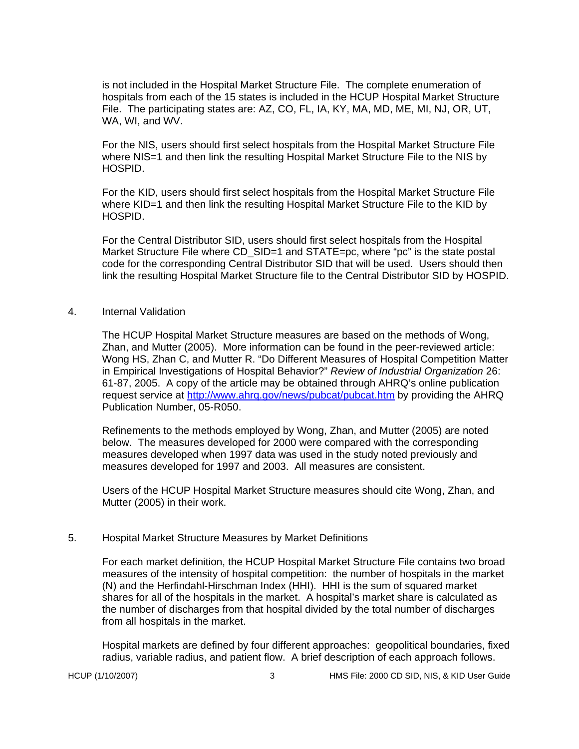is not included in the Hospital Market Structure File. The complete enumeration of hospitals from each of the 15 states is included in the HCUP Hospital Market Structure File. The participating states are: AZ, CO, FL, IA, KY, MA, MD, ME, MI, NJ, OR, UT, WA, WI, and WV.

For the NIS, users should first select hospitals from the Hospital Market Structure File where NIS=1 and then link the resulting Hospital Market Structure File to the NIS by HOSPID.

For the KID, users should first select hospitals from the Hospital Market Structure File where KID=1 and then link the resulting Hospital Market Structure File to the KID by HOSPID.

For the Central Distributor SID, users should first select hospitals from the Hospital Market Structure File where CD SID=1 and STATE=pc, where "pc" is the state postal code for the corresponding Central Distributor SID that will be used. Users should then link the resulting Hospital Market Structure file to the Central Distributor SID by HOSPID.

#### 4. Internal Validation

The HCUP Hospital Market Structure measures are based on the methods of Wong, Zhan, and Mutter (2005). More information can be found in the peer-reviewed article: Wong HS, Zhan C, and Mutter R. "Do Different Measures of Hospital Competition Matter in Empirical Investigations of Hospital Behavior?" *Review of Industrial Organization* 26: 61-87, 2005. A copy of the article may be obtained through AHRQ's online publication request service at http://www.ahrq.gov/news/pubcat/pubcat.htm by providing the AHRQ Publication Number, 05-R050.

Refinements to the methods employed by Wong, Zhan, and Mutter (2005) are noted below. The measures developed for 2000 were compared with the corresponding measures developed when 1997 data was used in the study noted previously and measures developed for 1997 and 2003. All measures are consistent.

Users of the HCUP Hospital Market Structure measures should cite Wong, Zhan, and Mutter (2005) in their work.

## 5. Hospital Market Structure Measures by Market Definitions

For each market definition, the HCUP Hospital Market Structure File contains two broad measures of the intensity of hospital competition: the number of hospitals in the market (N) and the Herfindahl-Hirschman Index (HHI). HHI is the sum of squared market shares for all of the hospitals in the market. A hospital's market share is calculated as the number of discharges from that hospital divided by the total number of discharges from all hospitals in the market.

Hospital markets are defined by four different approaches: geopolitical boundaries, fixed radius, variable radius, and patient flow. A brief description of each approach follows.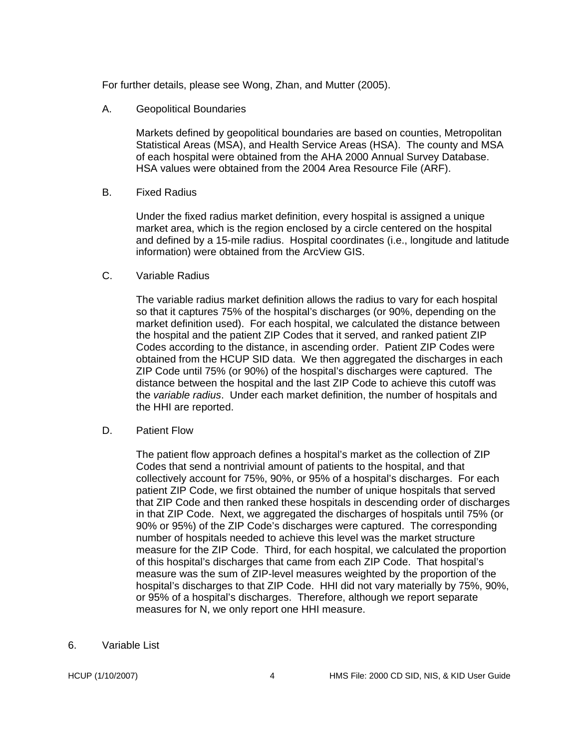For further details, please see Wong, Zhan, and Mutter (2005).

A. Geopolitical Boundaries

 Markets defined by geopolitical boundaries are based on counties, Metropolitan Statistical Areas (MSA), and Health Service Areas (HSA). The county and MSA of each hospital were obtained from the AHA 2000 Annual Survey Database. HSA values were obtained from the 2004 Area Resource File (ARF).

B. Fixed Radius

Under the fixed radius market definition, every hospital is assigned a unique market area, which is the region enclosed by a circle centered on the hospital and defined by a 15-mile radius. Hospital coordinates (i.e., longitude and latitude information) were obtained from the ArcView GIS.

C. Variable Radius

The variable radius market definition allows the radius to vary for each hospital so that it captures 75% of the hospital's discharges (or 90%, depending on the market definition used). For each hospital, we calculated the distance between the hospital and the patient ZIP Codes that it served, and ranked patient ZIP Codes according to the distance, in ascending order. Patient ZIP Codes were obtained from the HCUP SID data. We then aggregated the discharges in each ZIP Code until 75% (or 90%) of the hospital's discharges were captured. The distance between the hospital and the last ZIP Code to achieve this cutoff was the *variable radius*. Under each market definition, the number of hospitals and the HHI are reported.

D. Patient Flow

The patient flow approach defines a hospital's market as the collection of ZIP Codes that send a nontrivial amount of patients to the hospital, and that collectively account for 75%, 90%, or 95% of a hospital's discharges. For each patient ZIP Code, we first obtained the number of unique hospitals that served that ZIP Code and then ranked these hospitals in descending order of discharges in that ZIP Code. Next, we aggregated the discharges of hospitals until 75% (or 90% or 95%) of the ZIP Code's discharges were captured. The corresponding number of hospitals needed to achieve this level was the market structure measure for the ZIP Code. Third, for each hospital, we calculated the proportion of this hospital's discharges that came from each ZIP Code. That hospital's measure was the sum of ZIP-level measures weighted by the proportion of the hospital's discharges to that ZIP Code. HHI did not vary materially by 75%, 90%, or 95% of a hospital's discharges. Therefore, although we report separate measures for N, we only report one HHI measure.

6. Variable List